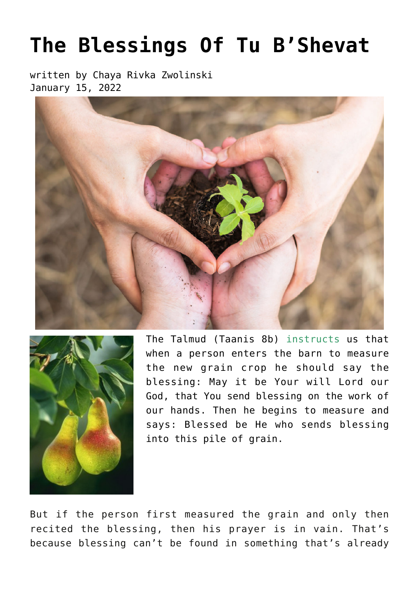## **[The Blessings Of Tu B'Shevat](https://breslov.org/10438/)**

written by Chaya Rivka Zwolinski January 15, 2022





The Talmud (Taanis 8b) instructs us that when a person enters the barn to measure the new grain crop he should say the blessing: May it be Your will Lord our God, that You send blessing on the work of our hands. Then he begins to measure and says: Blessed be He who sends blessing into this pile of grain.

But if the person first measured the grain and only then recited the blessing, then his prayer is in vain. That's because blessing can't be found in something that's already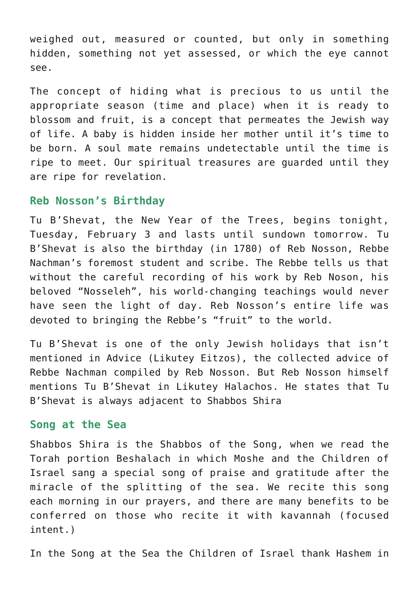weighed out, measured or counted, but only in something hidden, something not yet assessed, or which the eye cannot see.

The concept of hiding what is precious to us until the appropriate season (time and place) when it is ready to blossom and fruit, is a concept that permeates the Jewish way of life. A baby is hidden inside her mother until it's time to be born. A soul mate remains undetectable until the time is ripe to meet. Our spiritual treasures are guarded until they are ripe for revelation.

## **Reb Nosson's Birthday**

Tu B'Shevat, the New Year of the Trees, begins tonight, Tuesday, February 3 and lasts until sundown tomorrow. Tu B'Shevat is also the birthday (in 1780) of Reb Nosson, Rebbe Nachman's foremost student and scribe. The Rebbe tells us that without the careful recording of his work by Reb Noson, his beloved "Nosseleh", his world-changing teachings would never have seen the light of day. Reb Nosson's entire life was devoted to bringing the Rebbe's "fruit" to the world.

Tu B'Shevat is one of the only Jewish holidays that isn't mentioned in Advice (Likutey Eitzos), the collected advice of Rebbe Nachman compiled by Reb Nosson. But Reb Nosson himself mentions Tu B'Shevat in Likutey Halachos. He states that Tu B'Shevat is always adjacent to Shabbos Shira

## **Song at the Sea**

Shabbos Shira is the Shabbos of the Song, when we read the Torah portion Beshalach in which Moshe and the Children of Israel sang a special song of praise and gratitude after the miracle of the splitting of the sea. We recite this song each morning in our prayers, and there are many benefits to be conferred on those who recite it with kavannah (focused intent.)

In the Song at the Sea the Children of Israel thank Hashem in